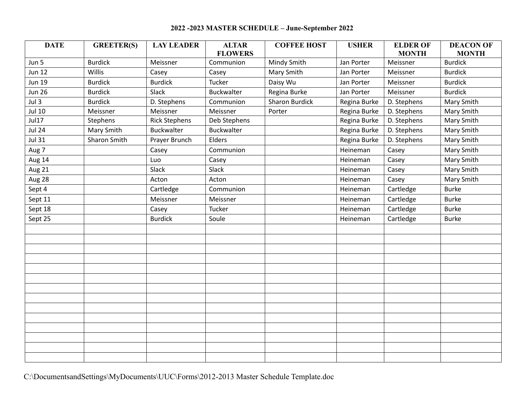## **2022 -2023 MASTER SCHEDULE – June-September 2022**

| <b>DATE</b>      | <b>GREETER(S)</b>   | <b>LAY LEADER</b>    | <b>ALTAR</b><br><b>FLOWERS</b> | <b>COFFEE HOST</b>    | <b>USHER</b> | <b>ELDER OF</b><br><b>MONTH</b> | <b>DEACON OF</b><br><b>MONTH</b> |
|------------------|---------------------|----------------------|--------------------------------|-----------------------|--------------|---------------------------------|----------------------------------|
| Jun 5            | <b>Burdick</b>      | Meissner             | Communion                      | Mindy Smith           | Jan Porter   | Meissner                        | <b>Burdick</b>                   |
| <b>Jun 12</b>    | Willis              | Casey                | Casey                          | Mary Smith            | Jan Porter   | Meissner                        | <b>Burdick</b>                   |
| <b>Jun 19</b>    | <b>Burdick</b>      | <b>Burdick</b>       | Tucker                         | Daisy Wu              | Jan Porter   | Meissner                        | <b>Burdick</b>                   |
| <b>Jun 26</b>    | <b>Burdick</b>      | Slack                | <b>Buckwalter</b>              | Regina Burke          | Jan Porter   | Meissner                        | <b>Burdick</b>                   |
| Jul <sub>3</sub> | <b>Burdick</b>      | D. Stephens          | Communion                      | <b>Sharon Burdick</b> | Regina Burke | D. Stephens                     | Mary Smith                       |
| Jul 10           | Meissner            | Meissner             | Meissner                       | Porter                | Regina Burke | D. Stephens                     | Mary Smith                       |
| Jul17            | Stephens            | <b>Rick Stephens</b> | Deb Stephens                   |                       | Regina Burke | D. Stephens                     | Mary Smith                       |
| <b>Jul 24</b>    | Mary Smith          | Buckwalter           | <b>Buckwalter</b>              |                       | Regina Burke | D. Stephens                     | Mary Smith                       |
| <b>Jul 31</b>    | <b>Sharon Smith</b> | Prayer Brunch        | Elders                         |                       | Regina Burke | D. Stephens                     | Mary Smith                       |
| Aug 7            |                     | Casey                | Communion                      |                       | Heineman     | Casey                           | Mary Smith                       |
| Aug 14           |                     | Luo                  | Casey                          |                       | Heineman     | Casey                           | Mary Smith                       |
| Aug 21           |                     | Slack                | Slack                          |                       | Heineman     | Casey                           | Mary Smith                       |
| Aug 28           |                     | Acton                | Acton                          |                       | Heineman     | Casey                           | Mary Smith                       |
| Sept 4           |                     | Cartledge            | Communion                      |                       | Heineman     | Cartledge                       | <b>Burke</b>                     |
| Sept 11          |                     | Meissner             | Meissner                       |                       | Heineman     | Cartledge                       | <b>Burke</b>                     |
| Sept 18          |                     | Casey                | Tucker                         |                       | Heineman     | Cartledge                       | <b>Burke</b>                     |
| Sept 25          |                     | <b>Burdick</b>       | Soule                          |                       | Heineman     | Cartledge                       | <b>Burke</b>                     |
|                  |                     |                      |                                |                       |              |                                 |                                  |
|                  |                     |                      |                                |                       |              |                                 |                                  |
|                  |                     |                      |                                |                       |              |                                 |                                  |
|                  |                     |                      |                                |                       |              |                                 |                                  |
|                  |                     |                      |                                |                       |              |                                 |                                  |
|                  |                     |                      |                                |                       |              |                                 |                                  |
|                  |                     |                      |                                |                       |              |                                 |                                  |
|                  |                     |                      |                                |                       |              |                                 |                                  |
|                  |                     |                      |                                |                       |              |                                 |                                  |
|                  |                     |                      |                                |                       |              |                                 |                                  |
|                  |                     |                      |                                |                       |              |                                 |                                  |
|                  |                     |                      |                                |                       |              |                                 |                                  |
|                  |                     |                      |                                |                       |              |                                 |                                  |
|                  |                     |                      |                                |                       |              |                                 |                                  |

C:\DocumentsandSettings\MyDocuments\UUC\Forms\2012-2013 Master Schedule Template.doc